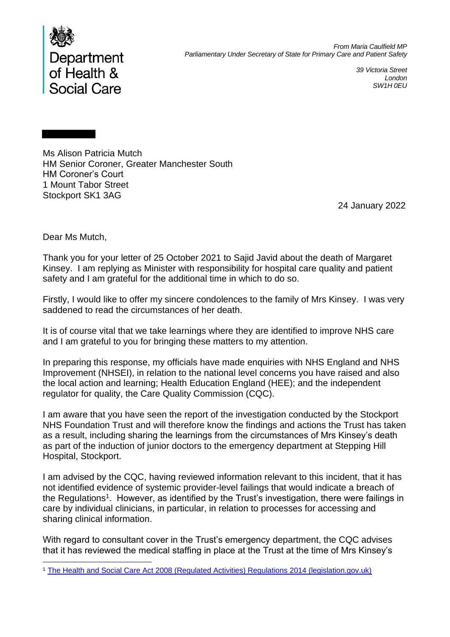

*39 Victoria Street London SW1H 0EU*

Ms Alison Patricia Mutch HM Senior Coroner, Greater Manchester South HM Coroner's Court 1 Mount Tabor Street Stockport SK1 3AG

24 January 2022

Dear Ms Mutch,

Thank you for your letter of 25 October 2021 to Sajid Javid about the death of Margaret Kinsey. I am replying as Minister with responsibility for hospital care quality and patient safety and I am grateful for the additional time in which to do so.

Firstly, I would like to offer my sincere condolences to the family of Mrs Kinsey. I was very saddened to read the circumstances of her death.

It is of course vital that we take learnings where they are identified to improve NHS care and I am grateful to you for bringing these matters to my attention.

In preparing this response, my officials have made enquiries with NHS England and NHS Improvement (NHSEI), in relation to the national level concerns you have raised and also the local action and learning; Health Education England (HEE); and the independent regulator for quality, the Care Quality Commission (CQC).

I am aware that you have seen the report of the investigation conducted by the Stockport NHS Foundation Trust and will therefore know the findings and actions the Trust has taken as a result, including sharing the learnings from the circumstances of Mrs Kinsey's death as part of the induction of junior doctors to the emergency department at Stepping Hill Hospital, Stockport.

I am advised by the CQC, having reviewed information relevant to this incident, that it has not identified evidence of systemic provider-level failings that would indicate a breach of the Regulations<sup>1</sup>. However, as identified by the Trust's investigation, there were failings in care by individual clinicians, in particular, in relation to processes for accessing and sharing clinical information.

With regard to consultant cover in the Trust's emergency department, the CQC advises that it has reviewed the medical staffing in place at the Trust at the time of Mrs Kinsey's

<sup>1</sup> [The Health and Social Care Act 2008 \(Regulated Activities\) Regulations 2014 \(legislation.gov.uk\)](https://www.legislation.gov.uk/ukdsi/2014/9780111117613/contents)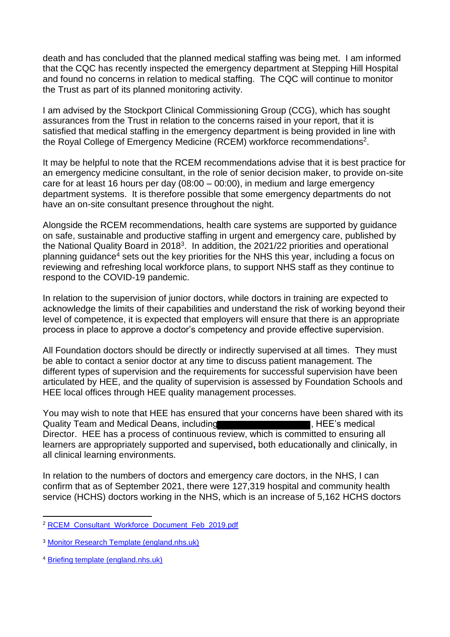death and has concluded that the planned medical staffing was being met. I am informed that the CQC has recently inspected the emergency department at Stepping Hill Hospital and found no concerns in relation to medical staffing. The CQC will continue to monitor the Trust as part of its planned monitoring activity.

I am advised by the Stockport Clinical Commissioning Group (CCG), which has sought assurances from the Trust in relation to the concerns raised in your report, that it is satisfied that medical staffing in the emergency department is being provided in line with the Royal College of Emergency Medicine (RCEM) workforce recommendations<sup>2</sup>.

It may be helpful to note that the RCEM recommendations advise that it is best practice for an emergency medicine consultant, in the role of senior decision maker, to provide on-site care for at least 16 hours per day (08:00 – 00:00), in medium and large emergency department systems. It is therefore possible that some emergency departments do not have an on-site consultant presence throughout the night.

Alongside the RCEM recommendations, health care systems are supported by guidance on safe, sustainable and productive staffing in urgent and emergency care, published by the National Quality Board in 2018<sup>3</sup>. In addition, the 2021/22 priorities and operational planning guidance<sup>4</sup> sets out the key priorities for the NHS this year, including a focus on reviewing and refreshing local workforce plans, to support NHS staff as they continue to respond to the COVID-19 pandemic.

In relation to the supervision of junior doctors, while doctors in training are expected to acknowledge the limits of their capabilities and understand the risk of working beyond their level of competence, it is expected that employers will ensure that there is an appropriate process in place to approve a doctor's competency and provide effective supervision.

All Foundation doctors should be directly or indirectly supervised at all times. They must be able to contact a senior doctor at any time to discuss patient management. The different types of supervision and the requirements for successful supervision have been articulated by HEE, and the quality of supervision is assessed by Foundation Schools and HEE local offices through HEE quality management processes.

You may wish to note that HEE has ensured that your concerns have been shared with its Quality Team and Medical Deans, including **the act of the set of the Security Team**, HEE's medical Director. HEE has a process of continuous review, which is committed to ensuring all learners are appropriately supported and supervised**,** both educationally and clinically, in all clinical learning environments.

In relation to the numbers of doctors and emergency care doctors, in the NHS, I can confirm that as of September 2021, there were 127,319 hospital and community health service (HCHS) doctors working in the NHS, which is an increase of 5,162 HCHS doctors

<sup>2</sup> [RCEM\\_Consultant\\_Workforce\\_Document\\_Feb\\_2019.pdf](https://rcem.ac.uk/wp-content/uploads/2021/11/RCEM_Consultant_Workforce_Document_Feb_2019.pdf)

<sup>3</sup> [Monitor Research Template \(england.nhs.uk\)](https://www.england.nhs.uk/wp-content/uploads/2021/04/safe-staffing-uec-june-2018.pdf)

<sup>4</sup> [Briefing template \(england.nhs.uk\)](https://www.england.nhs.uk/wp-content/uploads/2021/03/B0468-nhs-operational-planning-and-contracting-guidance.pdf)